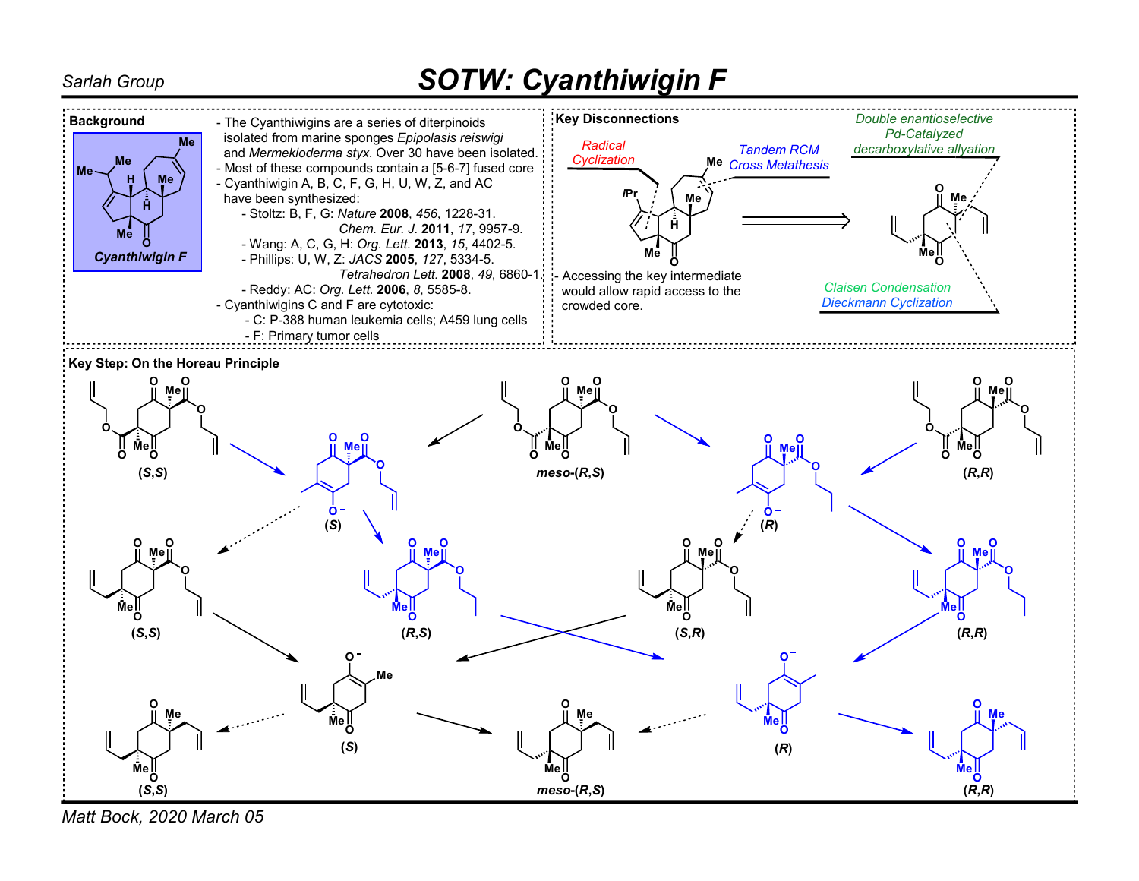## Sarlah Group **SOTW: Cyanthiwigin F**



Matt Bock, 2020 March 05